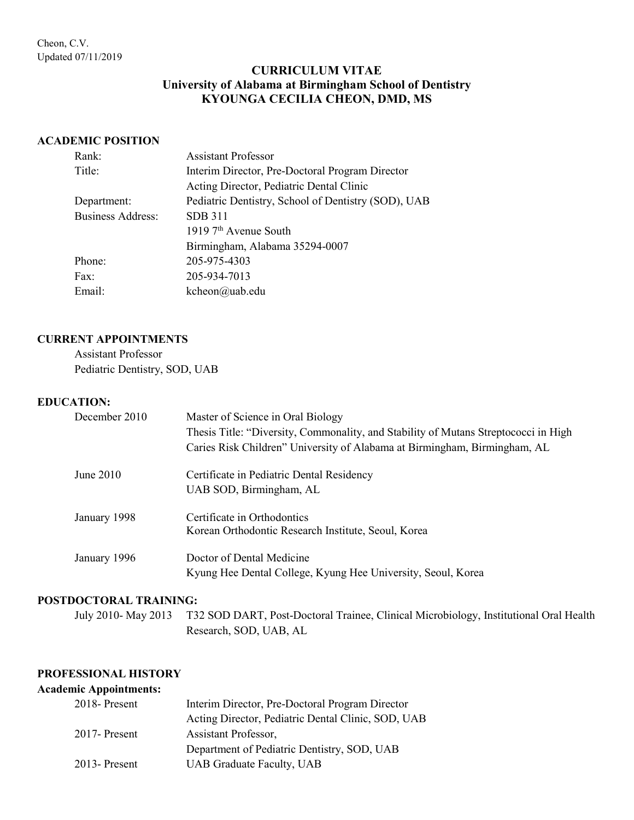# **CURRICULUM VITAE University of Alabama at Birmingham School of Dentistry KYOUNGA CECILIA CHEON, DMD, MS**

#### **ACADEMIC POSITION**

| Rank:             | <b>Assistant Professor</b>                          |  |
|-------------------|-----------------------------------------------------|--|
| Title:            | Interim Director, Pre-Doctoral Program Director     |  |
|                   | Acting Director, Pediatric Dental Clinic            |  |
| Department:       | Pediatric Dentistry, School of Dentistry (SOD), UAB |  |
| Business Address: | SDB 311                                             |  |
|                   | 1919 7 <sup>th</sup> Avenue South                   |  |
|                   | Birmingham, Alabama 35294-0007                      |  |
| Phone:            | 205-975-4303                                        |  |
| Fax:              | 205-934-7013                                        |  |
| Email:            | kcheon@uab.edu                                      |  |

#### **CURRENT APPOINTMENTS**

Assistant Professor Pediatric Dentistry, SOD, UAB

#### **EDUCATION:**

| December 2010 | Master of Science in Oral Biology                                                   |
|---------------|-------------------------------------------------------------------------------------|
|               | Thesis Title: "Diversity, Commonality, and Stability of Mutans Streptococci in High |
|               | Caries Risk Children" University of Alabama at Birmingham, Birmingham, AL           |
| June $2010$   | Certificate in Pediatric Dental Residency                                           |
|               | UAB SOD, Birmingham, AL                                                             |
| January 1998  | Certificate in Orthodontics                                                         |
|               | Korean Orthodontic Research Institute, Seoul, Korea                                 |
| January 1996  | Doctor of Dental Medicine                                                           |
|               | Kyung Hee Dental College, Kyung Hee University, Seoul, Korea                        |

## **POSTDOCTORAL TRAINING:**

July 2010- May 2013 T32 SOD DART, Post-Doctoral Trainee, Clinical Microbiology, Institutional Oral Health Research, SOD, UAB, AL

#### **PROFESSIONAL HISTORY**

## **Academic Appointments:**

| $2018$ - Present | Interim Director, Pre-Doctoral Program Director    |  |
|------------------|----------------------------------------------------|--|
|                  | Acting Director, Pediatric Dental Clinic, SOD, UAB |  |
| $2017$ - Present | Assistant Professor,                               |  |
|                  | Department of Pediatric Dentistry, SOD, UAB        |  |
| $2013$ - Present | <b>UAB Graduate Faculty, UAB</b>                   |  |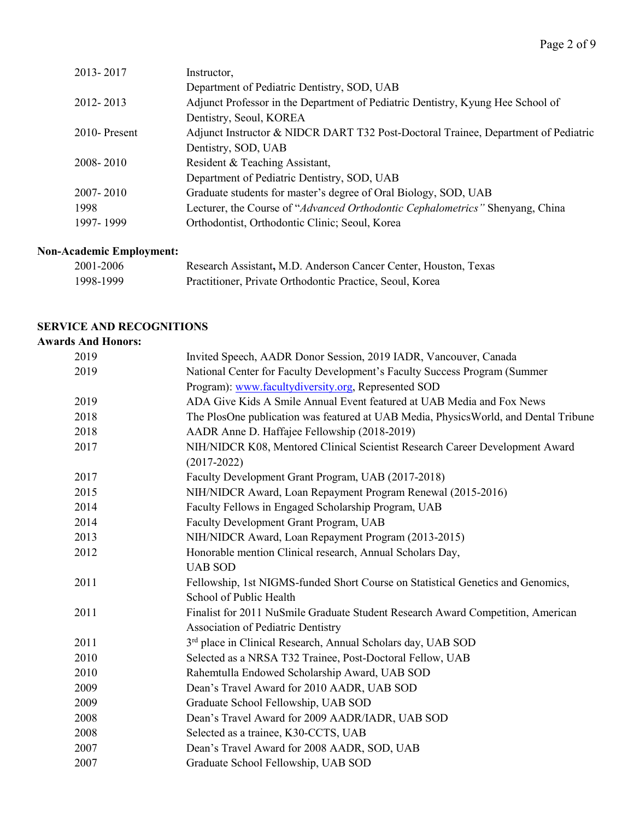| 2013-2017        | Instructor,                                                                        |
|------------------|------------------------------------------------------------------------------------|
|                  | Department of Pediatric Dentistry, SOD, UAB                                        |
| 2012-2013        | Adjunct Professor in the Department of Pediatric Dentistry, Kyung Hee School of    |
|                  | Dentistry, Seoul, KOREA                                                            |
| $2010$ - Present | Adjunct Instructor & NIDCR DART T32 Post-Doctoral Trainee, Department of Pediatric |
|                  | Dentistry, SOD, UAB                                                                |
| 2008-2010        | Resident & Teaching Assistant,                                                     |
|                  | Department of Pediatric Dentistry, SOD, UAB                                        |
| 2007-2010        | Graduate students for master's degree of Oral Biology, SOD, UAB                    |
| 1998             | Lecturer, the Course of "Advanced Orthodontic Cephalometrics" Shenyang, China      |
| 1997-1999        | Orthodontist, Orthodontic Clinic; Seoul, Korea                                     |

# **Non-Academic Employment:**

| 2001-2006 | Research Assistant, M.D. Anderson Cancer Center, Houston, Texas |
|-----------|-----------------------------------------------------------------|
| 1998-1999 | Practitioner, Private Orthodontic Practice, Seoul, Korea        |

# **SERVICE AND RECOGNITIONS**

# **Awards And Honors:**

| 2019 | Invited Speech, AADR Donor Session, 2019 IADR, Vancouver, Canada                    |
|------|-------------------------------------------------------------------------------------|
| 2019 | National Center for Faculty Development's Faculty Success Program (Summer           |
|      | Program): www.facultydiversity.org, Represented SOD                                 |
| 2019 | ADA Give Kids A Smile Annual Event featured at UAB Media and Fox News               |
| 2018 | The PlosOne publication was featured at UAB Media, PhysicsWorld, and Dental Tribune |
| 2018 | AADR Anne D. Haffajee Fellowship (2018-2019)                                        |
| 2017 | NIH/NIDCR K08, Mentored Clinical Scientist Research Career Development Award        |
|      | $(2017 - 2022)$                                                                     |
| 2017 | Faculty Development Grant Program, UAB (2017-2018)                                  |
| 2015 | NIH/NIDCR Award, Loan Repayment Program Renewal (2015-2016)                         |
| 2014 | Faculty Fellows in Engaged Scholarship Program, UAB                                 |
| 2014 | Faculty Development Grant Program, UAB                                              |
| 2013 | NIH/NIDCR Award, Loan Repayment Program (2013-2015)                                 |
| 2012 | Honorable mention Clinical research, Annual Scholars Day,                           |
|      | <b>UAB SOD</b>                                                                      |
| 2011 | Fellowship, 1st NIGMS-funded Short Course on Statistical Genetics and Genomics,     |
|      | School of Public Health                                                             |
| 2011 | Finalist for 2011 NuSmile Graduate Student Research Award Competition, American     |
|      | <b>Association of Pediatric Dentistry</b>                                           |
| 2011 | 3rd place in Clinical Research, Annual Scholars day, UAB SOD                        |
| 2010 | Selected as a NRSA T32 Trainee, Post-Doctoral Fellow, UAB                           |
| 2010 | Rahemtulla Endowed Scholarship Award, UAB SOD                                       |
| 2009 | Dean's Travel Award for 2010 AADR, UAB SOD                                          |
| 2009 | Graduate School Fellowship, UAB SOD                                                 |
| 2008 | Dean's Travel Award for 2009 AADR/IADR, UAB SOD                                     |
| 2008 | Selected as a trainee, K30-CCTS, UAB                                                |
| 2007 | Dean's Travel Award for 2008 AADR, SOD, UAB                                         |
| 2007 | Graduate School Fellowship, UAB SOD                                                 |
|      |                                                                                     |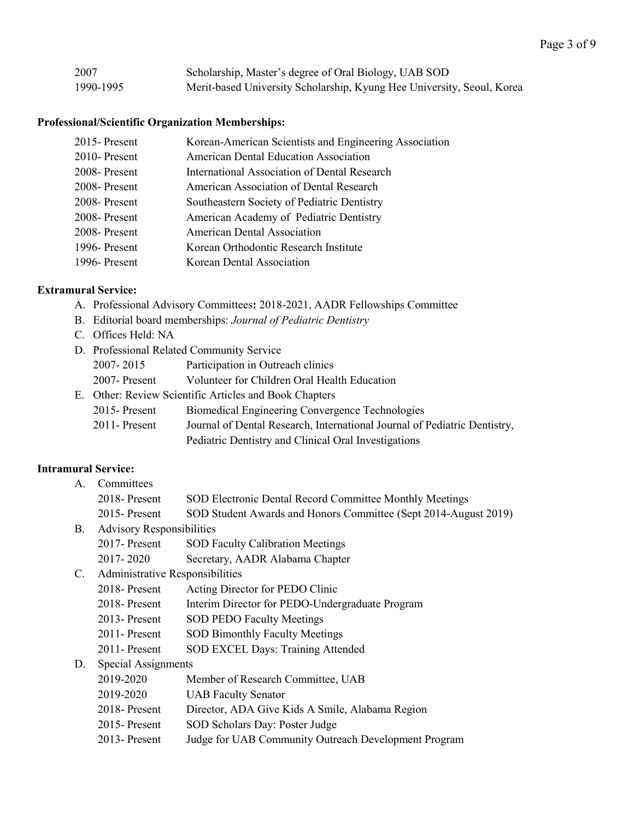| 2007      | Scholarship, Master's degree of Oral Biology, UAB SOD                  |
|-----------|------------------------------------------------------------------------|
| 1990-1995 | Merit-based University Scholarship, Kyung Hee University, Seoul, Korea |

# **Professional/Scientific Organization Memberships:**

| 2015-Present     | Korean-American Scientists and Engineering Association |
|------------------|--------------------------------------------------------|
| $2010$ - Present | <b>American Dental Education Association</b>           |
| 2008-Present     | International Association of Dental Research           |
| 2008-Present     | American Association of Dental Research                |
| 2008-Present     | Southeastern Society of Pediatric Dentistry            |
| 2008-Present     | American Academy of Pediatric Dentistry                |
| 2008-Present     | <b>American Dental Association</b>                     |
| 1996-Present     | Korean Orthodontic Research Institute                  |
| 1996-Present     | Korean Dental Association                              |
|                  |                                                        |

#### **Extramural Service:**

- A. Professional Advisory Committees**:** 2018-2021, AADR Fellowships Committee
- B. Editorial board memberships: *Journal of Pediatric Dentistry*
- C. Offices Held: NA

| D. Professional Related Community Service              |                                                                           |
|--------------------------------------------------------|---------------------------------------------------------------------------|
| 2007-2015                                              | Participation in Outreach clinics                                         |
| $2007$ - Present                                       | Volunteer for Children Oral Health Education                              |
| E. Other: Review Scientific Articles and Book Chapters |                                                                           |
| $2015$ - Present                                       | Biomedical Engineering Convergence Technologies                           |
| $2011$ - Present                                       | Journal of Dental Research, International Journal of Pediatric Dentistry, |

## **Intramural Service:**

| A.                                    | Committees                       |                                                                 |
|---------------------------------------|----------------------------------|-----------------------------------------------------------------|
|                                       | $2018$ -Present                  | SOD Electronic Dental Record Committee Monthly Meetings         |
|                                       | 2015 - Present                   | SOD Student Awards and Honors Committee (Sept 2014-August 2019) |
| <b>B.</b>                             | <b>Advisory Responsibilities</b> |                                                                 |
|                                       | $2017$ - Present                 | <b>SOD Faculty Calibration Meetings</b>                         |
|                                       | 2017-2020                        | Secretary, AADR Alabama Chapter                                 |
| C.<br>Administrative Responsibilities |                                  |                                                                 |
|                                       | $2018$ -Present                  | Acting Director for PEDO Clinic                                 |
|                                       | $2018$ -Present                  | Interim Director for PEDO-Undergraduate Program                 |
|                                       | $2013$ - Present                 | <b>SOD PEDO Faculty Meetings</b>                                |
|                                       | 2011-Present                     | <b>SOD Bimonthly Faculty Meetings</b>                           |
|                                       | 2011 - Present                   | SOD EXCEL Days: Training Attended                               |
| Special Assignments<br>D.             |                                  |                                                                 |
|                                       | 2019-2020                        | Member of Research Committee, UAB                               |
|                                       | 2019-2020                        | <b>UAB Faculty Senator</b>                                      |
|                                       | 2018-Present                     | Director, ADA Give Kids A Smile, Alabama Region                 |
|                                       | $2015$ -Present                  | SOD Scholars Day: Poster Judge                                  |
|                                       | 2013 - Present                   | Judge for UAB Community Outreach Development Program            |

Pediatric Dentistry and Clinical Oral Investigations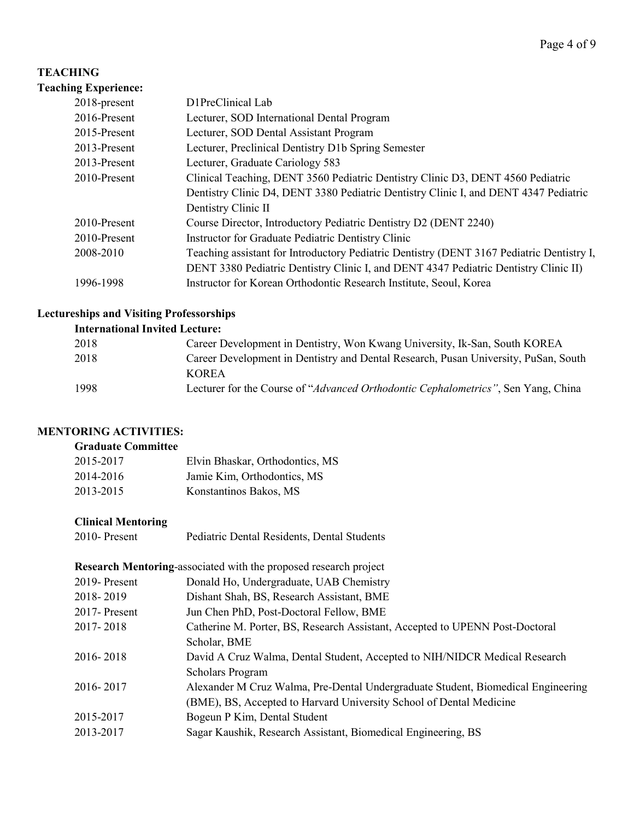## **TEACHING**

# **Teaching Experience:** 2018-present D1PreClinical Lab 2016-Present Lecturer, SOD International Dental Program 2015-Present Lecturer, SOD Dental Assistant Program 2013-Present Lecturer, Preclinical Dentistry D1b Spring Semester 2013-Present Lecturer, Graduate Cariology 583 2010-Present Clinical Teaching, DENT 3560 Pediatric Dentistry Clinic D3, DENT 4560 Pediatric Dentistry Clinic D4, DENT 3380 Pediatric Dentistry Clinic I, and DENT 4347 Pediatric Dentistry Clinic II 2010-Present Course Director, Introductory Pediatric Dentistry D2 (DENT 2240) 2010-Present Instructor for Graduate Pediatric Dentistry Clinic 2008-2010 Teaching assistant for Introductory Pediatric Dentistry (DENT 3167 Pediatric Dentistry I, DENT 3380 Pediatric Dentistry Clinic I, and DENT 4347 Pediatric Dentistry Clinic II) 1996-1998 Instructor for Korean Orthodontic Research Institute, Seoul, Korea

# **Lectureships and Visiting Professorships**

#### **International Invited Lecture:**

| 2018 | Career Development in Dentistry, Won Kwang University, Ik-San, South KOREA          |
|------|-------------------------------------------------------------------------------------|
| 2018 | Career Development in Dentistry and Dental Research, Pusan University, PuSan, South |
|      | <b>KOREA</b>                                                                        |
| 1998 | Lecturer for the Course of "Advanced Orthodontic Cephalometrics", Sen Yang, China   |
|      |                                                                                     |

## **MENTORING ACTIVITIES:**

### **Graduate Committee**

| 2015-2017 | Elvin Bhaskar, Orthodontics, MS |
|-----------|---------------------------------|
| 2014-2016 | Jamie Kim, Orthodontics, MS     |
| 2013-2015 | Konstantinos Bakos, MS          |

## **Clinical Mentoring**

| 2010- Present | Pediatric Dental Residents, Dental Students |  |
|---------------|---------------------------------------------|--|
|               |                                             |  |

**Research Mentoring**-associated with the proposed research project

| 2019-Present     | Donald Ho, Undergraduate, UAB Chemistry                                          |
|------------------|----------------------------------------------------------------------------------|
| 2018-2019        | Dishant Shah, BS, Research Assistant, BME                                        |
| $2017$ - Present | Jun Chen PhD, Post-Doctoral Fellow, BME                                          |
| 2017-2018        | Catherine M. Porter, BS, Research Assistant, Accepted to UPENN Post-Doctoral     |
|                  | Scholar, BME                                                                     |
| 2016-2018        | David A Cruz Walma, Dental Student, Accepted to NIH/NIDCR Medical Research       |
|                  | <b>Scholars Program</b>                                                          |
| 2016-2017        | Alexander M Cruz Walma, Pre-Dental Undergraduate Student, Biomedical Engineering |
|                  | (BME), BS, Accepted to Harvard University School of Dental Medicine              |
| 2015-2017        | Bogeun P Kim, Dental Student                                                     |
| 2013-2017        | Sagar Kaushik, Research Assistant, Biomedical Engineering, BS                    |
|                  |                                                                                  |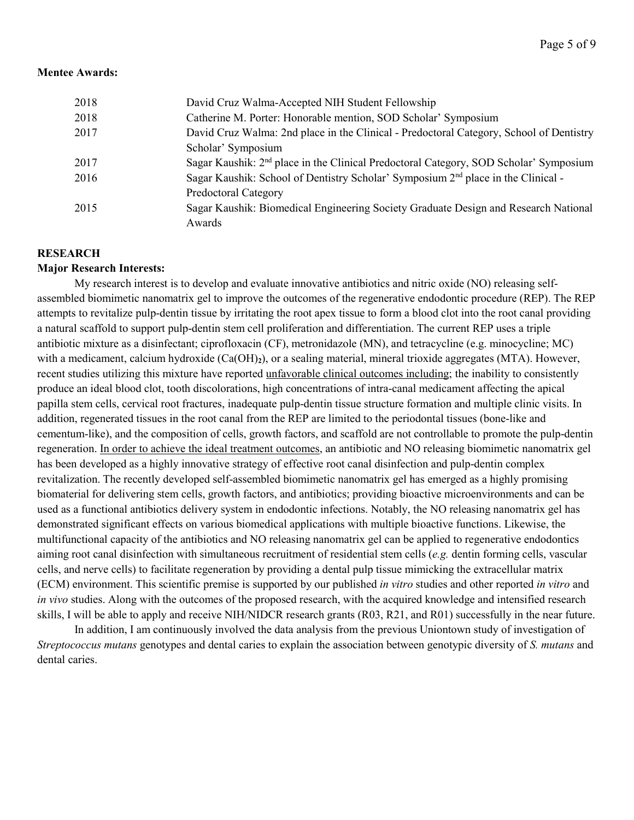#### **Mentee Awards:**

| 2018 | David Cruz Walma-Accepted NIH Student Fellowship                                                  |
|------|---------------------------------------------------------------------------------------------------|
| 2018 | Catherine M. Porter: Honorable mention, SOD Scholar' Symposium                                    |
| 2017 | David Cruz Walma: 2nd place in the Clinical - Predoctoral Category, School of Dentistry           |
|      | Scholar' Symposium                                                                                |
| 2017 | Sagar Kaushik: 2 <sup>nd</sup> place in the Clinical Predoctoral Category, SOD Scholar' Symposium |
| 2016 | Sagar Kaushik: School of Dentistry Scholar' Symposium 2 <sup>nd</sup> place in the Clinical -     |
|      | <b>Predoctoral Category</b>                                                                       |
| 2015 | Sagar Kaushik: Biomedical Engineering Society Graduate Design and Research National               |
|      | Awards                                                                                            |

## **RESEARCH**

### **Major Research Interests:**

My research interest is to develop and evaluate innovative antibiotics and nitric oxide (NO) releasing selfassembled biomimetic nanomatrix gel to improve the outcomes of the regenerative endodontic procedure (REP). The REP attempts to revitalize pulp-dentin tissue by irritating the root apex tissue to form a blood clot into the root canal providing a natural scaffold to support pulp-dentin stem cell proliferation and differentiation. The current REP uses a triple antibiotic mixture as a disinfectant; ciprofloxacin (CF), metronidazole (MN), and tetracycline (e.g. minocycline; MC) with a medicament, calcium hydroxide (Ca(OH)**2**), or a sealing material, mineral trioxide aggregates (MTA). However, recent studies utilizing this mixture have reported unfavorable clinical outcomes including; the inability to consistently produce an ideal blood clot, tooth discolorations, high concentrations of intra-canal medicament affecting the apical papilla stem cells, cervical root fractures, inadequate pulp-dentin tissue structure formation and multiple clinic visits. In addition, regenerated tissues in the root canal from the REP are limited to the periodontal tissues (bone-like and cementum-like), and the composition of cells, growth factors, and scaffold are not controllable to promote the pulp-dentin regeneration. In order to achieve the ideal treatment outcomes, an antibiotic and NO releasing biomimetic nanomatrix gel has been developed as a highly innovative strategy of effective root canal disinfection and pulp-dentin complex revitalization. The recently developed self-assembled biomimetic nanomatrix gel has emerged as a highly promising biomaterial for delivering stem cells, growth factors, and antibiotics; providing bioactive microenvironments and can be used as a functional antibiotics delivery system in endodontic infections. Notably, the NO releasing nanomatrix gel has demonstrated significant effects on various biomedical applications with multiple bioactive functions. Likewise, the multifunctional capacity of the antibiotics and NO releasing nanomatrix gel can be applied to regenerative endodontics aiming root canal disinfection with simultaneous recruitment of residential stem cells (*e.g.* dentin forming cells, vascular cells, and nerve cells) to facilitate regeneration by providing a dental pulp tissue mimicking the extracellular matrix (ECM) environment. This scientific premise is supported by our published *in vitro* studies and other reported *in vitro* and *in vivo* studies. Along with the outcomes of the proposed research, with the acquired knowledge and intensified research skills, I will be able to apply and receive NIH/NIDCR research grants (R03, R21, and R01) successfully in the near future.

In addition, I am continuously involved the data analysis from the previous Uniontown study of investigation of *Streptococcus mutans* genotypes and dental caries to explain the association between genotypic diversity of *S. mutans* and dental caries.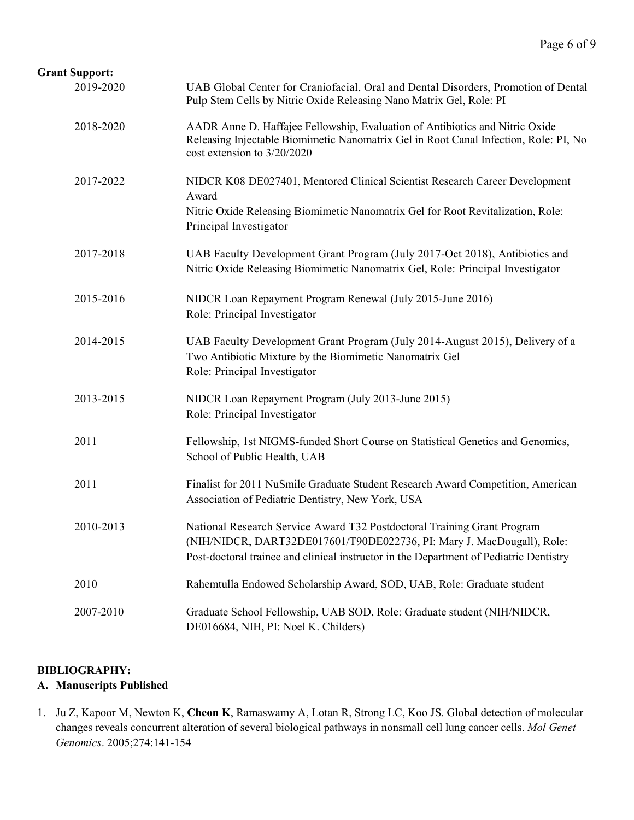# **Grant Support:**

| 2019-2020 | UAB Global Center for Craniofacial, Oral and Dental Disorders, Promotion of Dental<br>Pulp Stem Cells by Nitric Oxide Releasing Nano Matrix Gel, Role: PI                                                                                   |
|-----------|---------------------------------------------------------------------------------------------------------------------------------------------------------------------------------------------------------------------------------------------|
| 2018-2020 | AADR Anne D. Haffajee Fellowship, Evaluation of Antibiotics and Nitric Oxide<br>Releasing Injectable Biomimetic Nanomatrix Gel in Root Canal Infection, Role: PI, No<br>cost extension to 3/20/2020                                         |
| 2017-2022 | NIDCR K08 DE027401, Mentored Clinical Scientist Research Career Development<br>Award<br>Nitric Oxide Releasing Biomimetic Nanomatrix Gel for Root Revitalization, Role:<br>Principal Investigator                                           |
| 2017-2018 | UAB Faculty Development Grant Program (July 2017-Oct 2018), Antibiotics and<br>Nitric Oxide Releasing Biomimetic Nanomatrix Gel, Role: Principal Investigator                                                                               |
| 2015-2016 | NIDCR Loan Repayment Program Renewal (July 2015-June 2016)<br>Role: Principal Investigator                                                                                                                                                  |
| 2014-2015 | UAB Faculty Development Grant Program (July 2014-August 2015), Delivery of a<br>Two Antibiotic Mixture by the Biomimetic Nanomatrix Gel<br>Role: Principal Investigator                                                                     |
| 2013-2015 | NIDCR Loan Repayment Program (July 2013-June 2015)<br>Role: Principal Investigator                                                                                                                                                          |
| 2011      | Fellowship, 1st NIGMS-funded Short Course on Statistical Genetics and Genomics,<br>School of Public Health, UAB                                                                                                                             |
| 2011      | Finalist for 2011 NuSmile Graduate Student Research Award Competition, American<br>Association of Pediatric Dentistry, New York, USA                                                                                                        |
| 2010-2013 | National Research Service Award T32 Postdoctoral Training Grant Program<br>(NIH/NIDCR, DART32DE017601/T90DE022736, PI: Mary J. MacDougall), Role:<br>Post-doctoral trainee and clinical instructor in the Department of Pediatric Dentistry |
| 2010      | Rahemtulla Endowed Scholarship Award, SOD, UAB, Role: Graduate student                                                                                                                                                                      |
| 2007-2010 | Graduate School Fellowship, UAB SOD, Role: Graduate student (NIH/NIDCR,<br>DE016684, NIH, PI: Noel K. Childers)                                                                                                                             |

# **BIBLIOGRAPHY:**

# **A. Manuscripts Published**

1. Ju Z, Kapoor M, Newton K, **Cheon K**, Ramaswamy A, Lotan R, Strong LC, Koo JS. Global detection of molecular changes reveals concurrent alteration of several biological pathways in nonsmall cell lung cancer cells. *Mol Genet Genomics*. 2005;274:141-154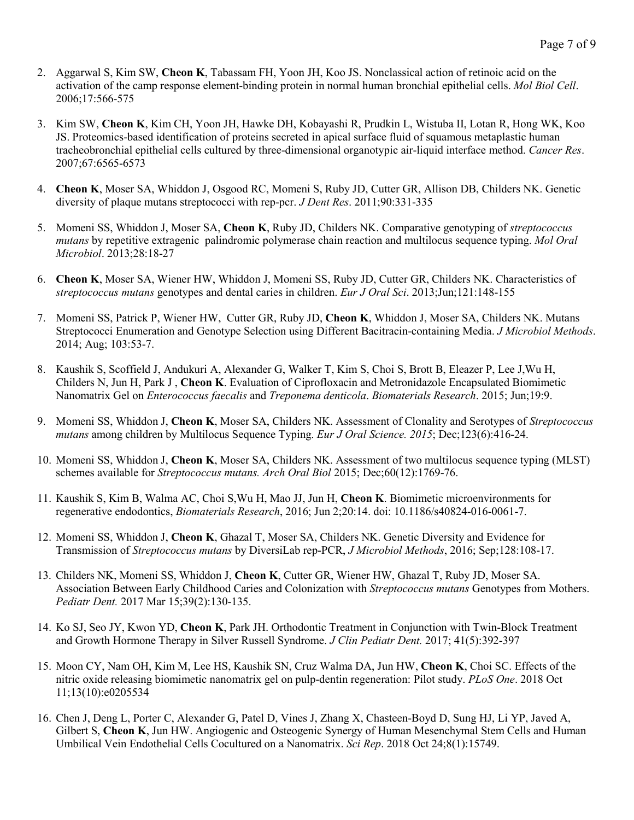- 2. Aggarwal S, Kim SW, **Cheon K**, Tabassam FH, Yoon JH, Koo JS. Nonclassical action of retinoic acid on the activation of the camp response element-binding protein in normal human bronchial epithelial cells. *Mol Biol Cell*. 2006;17:566-575
- 3. Kim SW, **Cheon K**, Kim CH, Yoon JH, Hawke DH, Kobayashi R, Prudkin L, Wistuba II, Lotan R, Hong WK, Koo JS. Proteomics-based identification of proteins secreted in apical surface fluid of squamous metaplastic human tracheobronchial epithelial cells cultured by three-dimensional organotypic air-liquid interface method. *Cancer Res*. 2007;67:6565-6573
- 4. **Cheon K**, Moser SA, Whiddon J, Osgood RC, Momeni S, Ruby JD, Cutter GR, Allison DB, Childers NK. Genetic diversity of plaque mutans streptococci with rep-pcr. *J Dent Res*. 2011;90:331-335
- 5. Momeni SS, Whiddon J, Moser SA, **Cheon K**, Ruby JD, Childers NK. Comparative genotyping of *streptococcus mutans* by repetitive extragenic palindromic polymerase chain reaction and multilocus sequence typing. *Mol Oral Microbiol*. 2013;28:18-27
- 6. **Cheon K**, Moser SA, Wiener HW, Whiddon J, Momeni SS, Ruby JD, Cutter GR, Childers NK. Characteristics of *streptococcus mutans* genotypes and dental caries in children. *Eur J Oral Sci*. 2013;Jun;121:148-155
- 7. Momeni SS, Patrick P, Wiener HW, Cutter GR, Ruby JD, **Cheon K**, Whiddon J, Moser SA, Childers NK. Mutans Streptococci Enumeration and Genotype Selection using Different Bacitracin-containing Media. *J Microbiol Methods*. 2014; Aug; 103:53-7.
- 8. Kaushik S, Scoffield J, Andukuri A, Alexander G, Walker T, Kim S, Choi S, Brott B, Eleazer P, Lee J,Wu H, Childers N, Jun H, Park J , **Cheon K**. Evaluation of Ciprofloxacin and Metronidazole Encapsulated Biomimetic Nanomatrix Gel on *Enterococcus faecalis* and *Treponema denticola*. *Biomaterials Research*. 2015; Jun;19:9.
- 9. Momeni SS, Whiddon J, **Cheon K**, Moser SA, Childers NK. Assessment of Clonality and Serotypes of *Streptococcus mutans* among children by Multilocus Sequence Typing. *Eur J Oral Science. 2015*; Dec;123(6):416-24.
- 10. Momeni SS, Whiddon J, **Cheon K**, Moser SA, Childers NK. Assessment of two multilocus sequence typing (MLST) schemes available for *Streptococcus mutans. Arch Oral Biol* 2015; Dec;60(12):1769-76.
- 11. Kaushik S, Kim B, Walma AC, Choi S,Wu H, Mao JJ, Jun H, **Cheon K**. Biomimetic microenvironments for regenerative endodontics, *Biomaterials Research*, 2016; Jun 2;20:14. doi: 10.1186/s40824-016-0061-7.
- 12. Momeni SS, Whiddon J, **Cheon K**, Ghazal T, Moser SA, Childers NK. Genetic Diversity and Evidence for Transmission of *Streptococcus mutans* by DiversiLab rep-PCR, *J Microbiol Methods*, 2016; Sep;128:108-17.
- 13. Childers NK, Momeni SS, Whiddon J, **Cheon K**, Cutter GR, Wiener HW, Ghazal T, Ruby JD, Moser SA. Association Between Early Childhood Caries and Colonization with *Streptococcus mutans* Genotypes from Mothers. *[Pediatr Dent.](https://www.ncbi.nlm.nih.gov/pubmed/28390463)* 2017 Mar 15;39(2):130-135.
- 14. Ko SJ, Seo JY, Kwon YD, **Cheon K**, Park JH. Orthodontic Treatment in Conjunction with Twin-Block Treatment and Growth Hormone Therapy in Silver Russell Syndrome. *J Clin Pediatr Dent.* 2017; 41(5):392-397
- 15. Moon CY, Nam OH, Kim M, Lee HS, Kaushik SN, Cruz Walma DA, Jun HW, **Cheon K**, Choi SC. Effects of the nitric oxide releasing biomimetic nanomatrix gel on pulp-dentin regeneration: Pilot study. *PLoS One*. 2018 Oct 11;13(10):e0205534
- 16. Chen J, Deng L, Porter C, Alexander G, Patel D, Vines J, Zhang X, Chasteen-Boyd D, Sung HJ, Li YP, Javed A, Gilbert S, **Cheon K**, Jun HW. Angiogenic and Osteogenic Synergy of Human Mesenchymal Stem Cells and Human Umbilical Vein Endothelial Cells Cocultured on a Nanomatrix. *Sci Rep*. 2018 Oct 24;8(1):15749.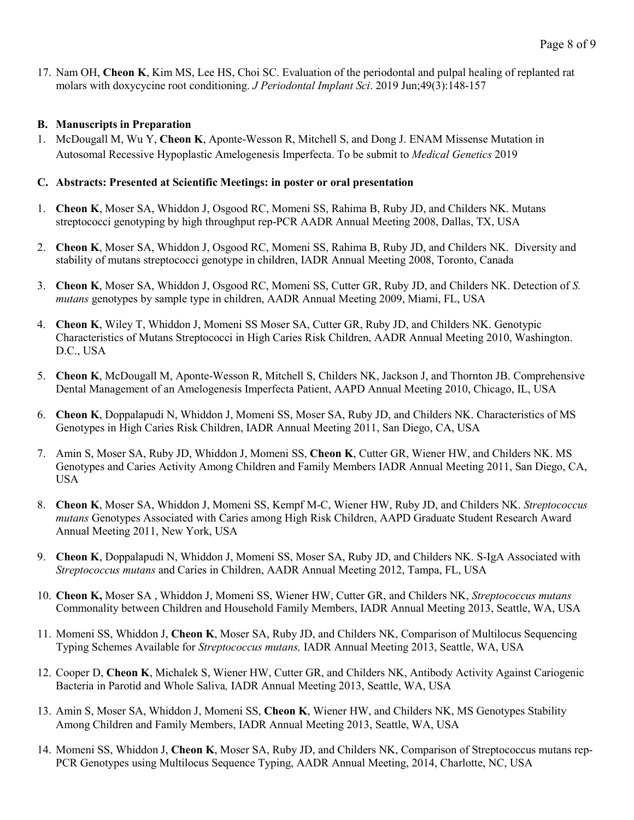17. Nam OH, **Cheon K**, Kim MS, Lee HS, Choi SC. Evaluation of the periodontal and pulpal healing of replanted rat molars with doxycycine root conditioning. *J Periodontal Implant Sci*. 2019 Jun;49(3):148-157

# **B. Manuscripts in Preparation**

1. McDougall M, Wu Y, **Cheon K**, Aponte-Wesson R, Mitchell S, and Dong J. ENAM Missense Mutation in Autosomal Recessive Hypoplastic Amelogenesis Imperfecta. To be submit to *Medical Genetics* 2019

# **C. Abstracts: Presented at Scientific Meetings: in poster or oral presentation**

- 1. **Cheon K**, Moser SA, Whiddon J, Osgood RC, Momeni SS, Rahima B, Ruby JD, and Childers NK. Mutans streptococci genotyping by high throughput rep-PCR AADR Annual Meeting 2008, Dallas, TX, USA
- 2. **Cheon K**, Moser SA, Whiddon J, Osgood RC, Momeni SS, Rahima B, Ruby JD, and Childers NK. Diversity and stability of mutans streptococci genotype in children, IADR Annual Meeting 2008, Toronto, Canada
- 3. **Cheon K**, Moser SA, Whiddon J, Osgood RC, Momeni SS, Cutter GR, Ruby JD, and Childers NK. Detection of *S. mutans* genotypes by sample type in children, AADR Annual Meeting 2009, Miami, FL, USA
- 4. **Cheon K**, Wiley T, Whiddon J, Momeni SS Moser SA, Cutter GR, Ruby JD, and Childers NK. Genotypic Characteristics of Mutans Streptococci in High Caries Risk Children, AADR Annual Meeting 2010, Washington. D.C., USA
- 5. **Cheon K**, McDougall M, Aponte-Wesson R, Mitchell S, Childers NK, Jackson J, and Thornton JB. Comprehensive Dental Management of an Amelogenesis Imperfecta Patient, AAPD Annual Meeting 2010, Chicago, IL, USA
- 6. **Cheon K**, Doppalapudi N, Whiddon J, Momeni SS, Moser SA, Ruby JD, and Childers NK. Characteristics of MS Genotypes in High Caries Risk Children, IADR Annual Meeting 2011, San Diego, CA, USA
- 7. Amin S, Moser SA, Ruby JD, Whiddon J, Momeni SS, **Cheon K**, Cutter GR, Wiener HW, and Childers NK. MS Genotypes and Caries Activity Among Children and Family Members IADR Annual Meeting 2011, San Diego, CA, USA
- 8. **Cheon K**, Moser SA, Whiddon J, Momeni SS, Kempf M-C, Wiener HW, Ruby JD, and Childers NK. *Streptococcus mutans* Genotypes Associated with Caries among High Risk Children, AAPD Graduate Student Research Award Annual Meeting 2011, New York, USA
- 9. **Cheon K**, Doppalapudi N, Whiddon J, Momeni SS, Moser SA, Ruby JD, and Childers NK. S-IgA Associated with *Streptococcus mutans* and Caries in Children, AADR Annual Meeting 2012, Tampa, FL, USA
- 10. **Cheon K,** Moser SA , Whiddon J, Momeni SS, Wiener HW, Cutter GR, and Childers NK, *Streptococcus mutans* Commonality between Children and Household Family Members, IADR Annual Meeting 2013, Seattle, WA, USA
- 11. [Momeni](mailto:sks@uab.edu) SS, Whiddon J, **Cheon K**, Moser SA, Ruby JD, and Childers NK, Comparison of Multilocus Sequencing Typing Schemes Available for *Streptococcus mutans,* IADR Annual Meeting 2013, Seattle, WA, USA
- 12. [Cooper](mailto:dcoop24@uab.edu) D, **Cheon K**, Michalek S, Wiener HW, Cutter GR, and Childers NK, Antibody Activity Against Cariogenic Bacteria in Parotid and Whole Saliva*,* IADR Annual Meeting 2013, Seattle, WA, USA
- 13. [Amin](mailto:drsaish@uab.edu) S, Moser SA, Whiddon J, Momeni SS, **Cheon K**, Wiener HW, and Childers NK, MS Genotypes Stability Among Children and Family Members, IADR Annual Meeting 2013, Seattle, WA, USA
- 14. [Momeni](mailto:sks@uab.edu) SS, Whiddon J, **Cheon K**, Moser SA, Ruby JD, and Childers NK, Comparison of Streptococcus mutans rep-PCR Genotypes using Multilocus Sequence Typing, AADR Annual Meeting, 2014, Charlotte, NC, USA